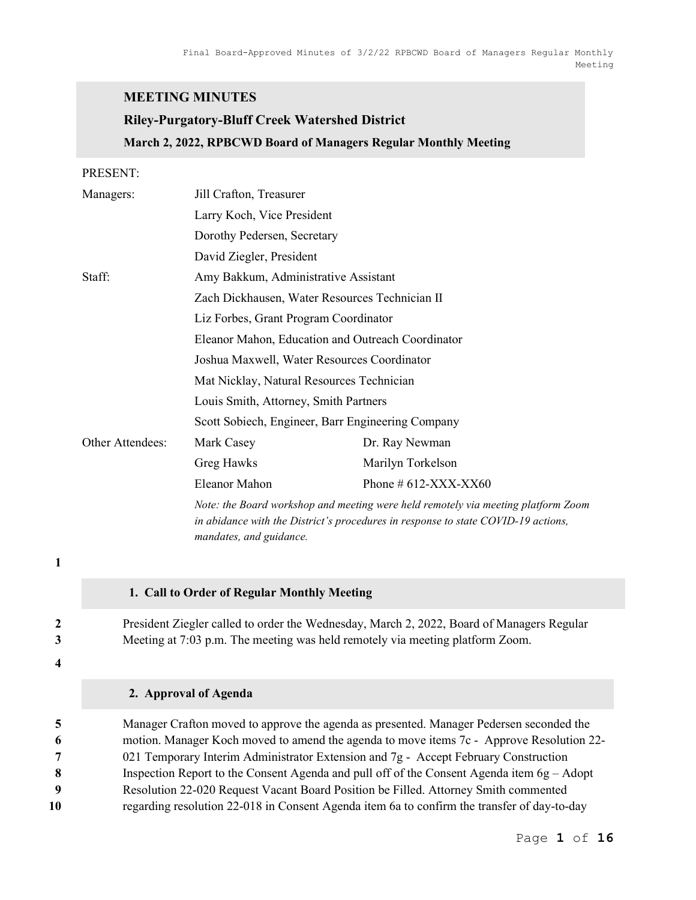#### MEETING MINUTES

# Riley-Purgatory-Bluff Creek Watershed District March 2, 2022, RPBCWD Board of Managers Regular Monthly Meeting

#### PRESENT:

| Managers:        | Jill Crafton, Treasurer                                                           |                          |  |  |  |  |
|------------------|-----------------------------------------------------------------------------------|--------------------------|--|--|--|--|
|                  | Larry Koch, Vice President                                                        |                          |  |  |  |  |
|                  | Dorothy Pedersen, Secretary                                                       |                          |  |  |  |  |
|                  |                                                                                   | David Ziegler, President |  |  |  |  |
| Staff:           | Amy Bakkum, Administrative Assistant                                              |                          |  |  |  |  |
|                  | Zach Dickhausen, Water Resources Technician II                                    |                          |  |  |  |  |
|                  | Liz Forbes, Grant Program Coordinator                                             |                          |  |  |  |  |
|                  | Eleanor Mahon, Education and Outreach Coordinator                                 |                          |  |  |  |  |
|                  | Joshua Maxwell, Water Resources Coordinator                                       |                          |  |  |  |  |
|                  | Mat Nicklay, Natural Resources Technician                                         |                          |  |  |  |  |
|                  | Louis Smith, Attorney, Smith Partners                                             |                          |  |  |  |  |
|                  | Scott Sobiech, Engineer, Barr Engineering Company                                 |                          |  |  |  |  |
| Other Attendees: | Mark Casey                                                                        | Dr. Ray Newman           |  |  |  |  |
|                  | Greg Hawks                                                                        | Marilyn Torkelson        |  |  |  |  |
|                  | Eleanor Mahon                                                                     | Phone # $612-XXX-XX60$   |  |  |  |  |
|                  | Note: the Board workshop and meeting were held remotely via meeting platform Zoom |                          |  |  |  |  |

mandates, and guidance.

# 1

#### 1. Call to Order of Regular Monthly Meeting

2 President Ziegler called to order the Wednesday, March 2, 2022, Board of Managers Regular 3 Meeting at 7:03 p.m. The meeting was held remotely via meeting platform Zoom.

in abidance with the District's procedures in response to state COVID-19 actions,

4

#### 2. Approval of Agenda

Manager Crafton moved to approve the agenda as presented. Manager Pedersen seconded the motion. Manager Koch moved to amend the agenda to move items 7c - Approve Resolution 22-  $7 \qquad 021$  Temporary Interim Administrator Extension and  $7g$  - Accept February Construction Inspection Report to the Consent Agenda and pull off of the Consent Agenda item 6g – Adopt Resolution 22-020 Request Vacant Board Position be Filled. Attorney Smith commented regarding resolution 22-018 in Consent Agenda item 6a to confirm the transfer of day-to-day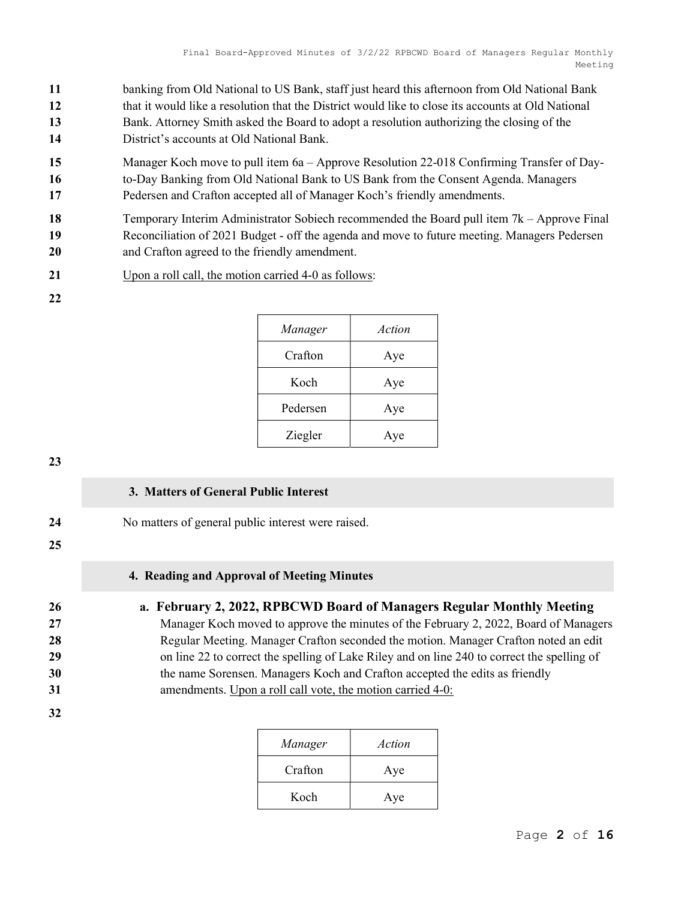- 11 banking from Old National to US Bank, staff just heard this afternoon from Old National Bank 12 that it would like a resolution that the District would like to close its accounts at Old National 13 Bank. Attorney Smith asked the Board to adopt a resolution authorizing the closing of the 14 District's accounts at Old National Bank.
- 
- 15 Manager Koch move to pull item 6a Approve Resolution 22-018 Confirming Transfer of Day-
- 16 to-Day Banking from Old National Bank to US Bank from the Consent Agenda. Managers
- 17 Pedersen and Crafton accepted all of Manager Koch's friendly amendments.
- 18 Temporary Interim Administrator Sobiech recommended the Board pull item 7k Approve Final 19 Reconciliation of 2021 Budget - off the agenda and move to future meeting. Managers Pedersen 20 and Crafton agreed to the friendly amendment.
- 21 Upon a roll call, the motion carried 4-0 as follows:
- 22

| Manager  | Action |
|----------|--------|
| Crafton  | Aye    |
| Koch     | Aye    |
| Pedersen | Aye    |
| Ziegler  | Aye    |

# 3. Matters of General Public Interest

24 No matters of general public interest were raised.

25

32

# 4. Reading and Approval of Meeting Minutes

# 26 a. February 2, 2022, RPBCWD Board of Managers Regular Monthly Meeting

27 Manager Koch moved to approve the minutes of the February 2, 2022, Board of Managers 28 **28** Regular Meeting. Manager Crafton seconded the motion. Manager Crafton noted an edit 29 on line 22 to correct the spelling of Lake Riley and on line 240 to correct the spelling of 30 the name Sorensen. Managers Koch and Crafton accepted the edits as friendly 31 amendments. Upon a roll call vote, the motion carried 4-0:

| Manager | Action |
|---------|--------|
| Crafton | Aye    |
| Koch    | Aye    |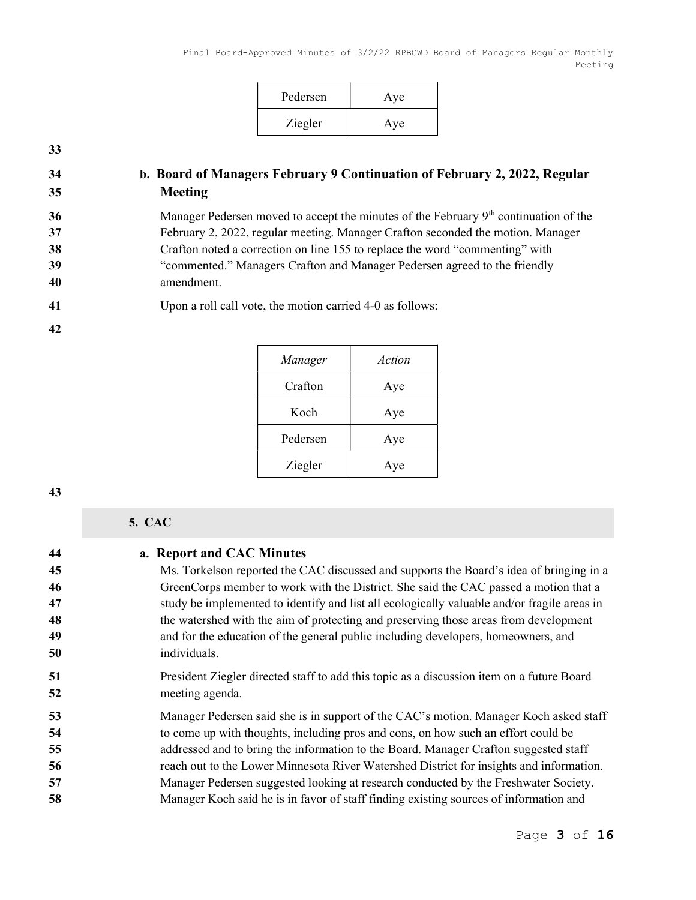| Pedersen | Aye |
|----------|-----|
| Ziegler  | Aye |

# 34 b. Board of Managers February 9 Continuation of February 2, 2022, Regular 35 Meeting

36 Manager Pedersen moved to accept the minutes of the February 9<sup>th</sup> continuation of the February 2, 2022, regular meeting. Manager Crafton seconded the motion. Manager Crafton noted a correction on line 155 to replace the word "commenting" with "commented." Managers Crafton and Manager Pedersen agreed to the friendly amendment.

# 41 Upon a roll call vote, the motion carried 4-0 as follows:

| Manager  | Action |
|----------|--------|
| Crafton  | Aye    |
| Koch     | Aye    |
| Pedersen | Aye    |
| Ziegler  | æ      |

#### 43

42

# 5. CAC

| 44 | a. Report and CAC Minutes                                                                   |
|----|---------------------------------------------------------------------------------------------|
| 45 | Ms. Torkelson reported the CAC discussed and supports the Board's idea of bringing in a     |
| 46 | GreenCorps member to work with the District. She said the CAC passed a motion that a        |
| 47 | study be implemented to identify and list all ecologically valuable and/or fragile areas in |
| 48 | the watershed with the aim of protecting and preserving those areas from development        |
| 49 | and for the education of the general public including developers, homeowners, and           |
| 50 | individuals.                                                                                |
| 51 | President Ziegler directed staff to add this topic as a discussion item on a future Board   |
| 52 | meeting agenda.                                                                             |
| 53 | Manager Pedersen said she is in support of the CAC's motion. Manager Koch asked staff       |
| 54 | to come up with thoughts, including pros and cons, on how such an effort could be           |
| 55 | addressed and to bring the information to the Board. Manager Crafton suggested staff        |
| 56 | reach out to the Lower Minnesota River Watershed District for insights and information.     |
| 57 | Manager Pedersen suggested looking at research conducted by the Freshwater Society.         |
| 58 | Manager Koch said he is in favor of staff finding existing sources of information and       |
|    |                                                                                             |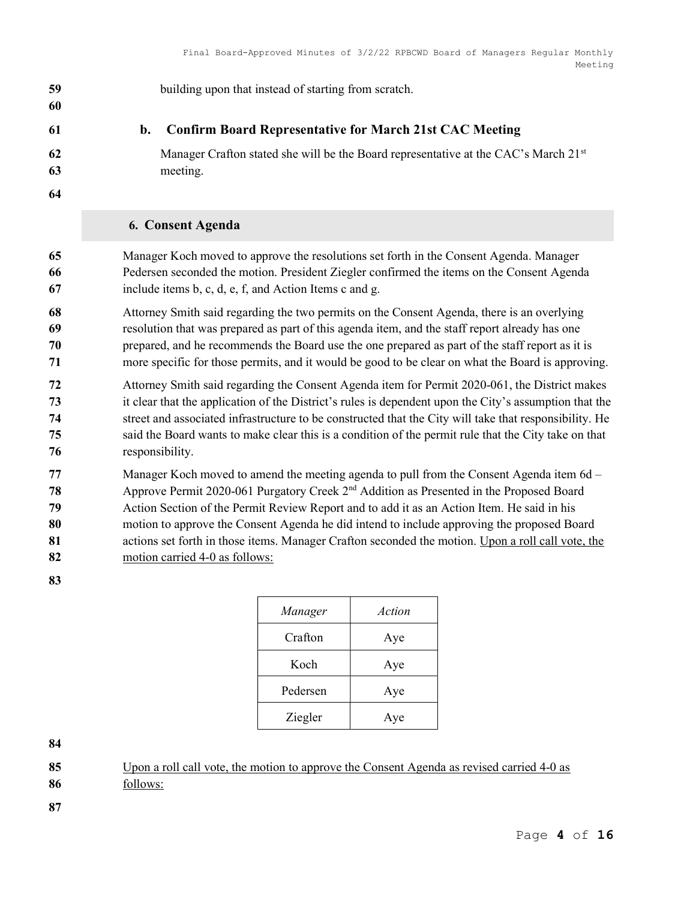building upon that instead of starting from scratch.

# b. Confirm Board Representative for March 21st CAC Meeting

#### 62 Manager Crafton stated she will be the Board representative at the CAC's March  $21<sup>st</sup>$ meeting.

# 6. Consent Agenda

Manager Koch moved to approve the resolutions set forth in the Consent Agenda. Manager Pedersen seconded the motion. President Ziegler confirmed the items on the Consent Agenda include items b, c, d, e, f, and Action Items c and g.

Attorney Smith said regarding the two permits on the Consent Agenda, there is an overlying resolution that was prepared as part of this agenda item, and the staff report already has one prepared, and he recommends the Board use the one prepared as part of the staff report as it is more specific for those permits, and it would be good to be clear on what the Board is approving.

Attorney Smith said regarding the Consent Agenda item for Permit 2020-061, the District makes it clear that the application of the District's rules is dependent upon the City's assumption that the street and associated infrastructure to be constructed that the City will take that responsibility. He said the Board wants to make clear this is a condition of the permit rule that the City take on that responsibility.

Manager Koch moved to amend the meeting agenda to pull from the Consent Agenda item 6d – Approve Permit 2020-061 Purgatory Creek  $2<sup>nd</sup>$  Addition as Presented in the Proposed Board Action Section of the Permit Review Report and to add it as an Action Item. He said in his motion to approve the Consent Agenda he did intend to include approving the proposed Board actions set forth in those items. Manager Crafton seconded the motion. Upon a roll call vote, the motion carried 4-0 as follows:

| Manager  | Action |
|----------|--------|
| Crafton  | Aye    |
| Koch     | Aye    |
| Pedersen | Aye    |
| Ziegler  | Ave    |

85 Upon a roll call vote, the motion to approve the Consent Agenda as revised carried 4-0 as follows: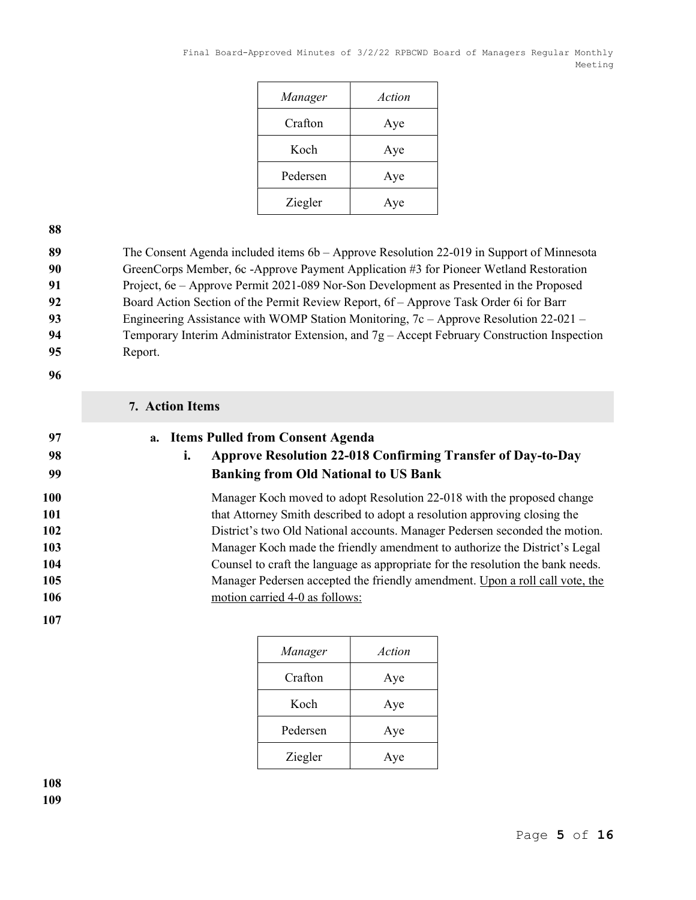| Manager  | Action |
|----------|--------|
| Crafton  | Aye    |
| Koch     | Aye    |
| Pedersen | Aye    |
| Ziegler  | Aye    |

89 The Consent Agenda included items 6b – Approve Resolution 22-019 in Support of Minnesota 90 GreenCorps Member, 6c -Approve Payment Application #3 for Pioneer Wetland Restoration 91 Project, 6e – Approve Permit 2021-089 Nor-Son Development as Presented in the Proposed 92 Board Action Section of the Permit Review Report, 6f – Approve Task Order 6i for Barr 93 Engineering Assistance with WOMP Station Monitoring, 7c – Approve Resolution 22-021 – 94 Temporary Interim Administrator Extension, and 7g – Accept February Construction Inspection 95 Report.

96

# 7. Action Items

| 97  | a. Items Pulled from Consent Agenda |    |                                                                                 |
|-----|-------------------------------------|----|---------------------------------------------------------------------------------|
| 98  |                                     | ı. | Approve Resolution 22-018 Confirming Transfer of Day-to-Day                     |
| 99  |                                     |    | <b>Banking from Old National to US Bank</b>                                     |
| 100 |                                     |    | Manager Koch moved to adopt Resolution 22-018 with the proposed change          |
| 101 |                                     |    | that Attorney Smith described to adopt a resolution approving closing the       |
| 102 |                                     |    | District's two Old National accounts. Manager Pedersen seconded the motion.     |
| 103 |                                     |    | Manager Koch made the friendly amendment to authorize the District's Legal      |
| 104 |                                     |    | Counsel to craft the language as appropriate for the resolution the bank needs. |
| 105 |                                     |    | Manager Pedersen accepted the friendly amendment. Upon a roll call vote, the    |
| 106 |                                     |    | motion carried 4-0 as follows:                                                  |
| 107 |                                     |    |                                                                                 |

| Manager  | Action |
|----------|--------|
| Crafton  | Aye    |
| Koch     | Aye    |
| Pedersen | Aye    |
| Ziegler  | Aye    |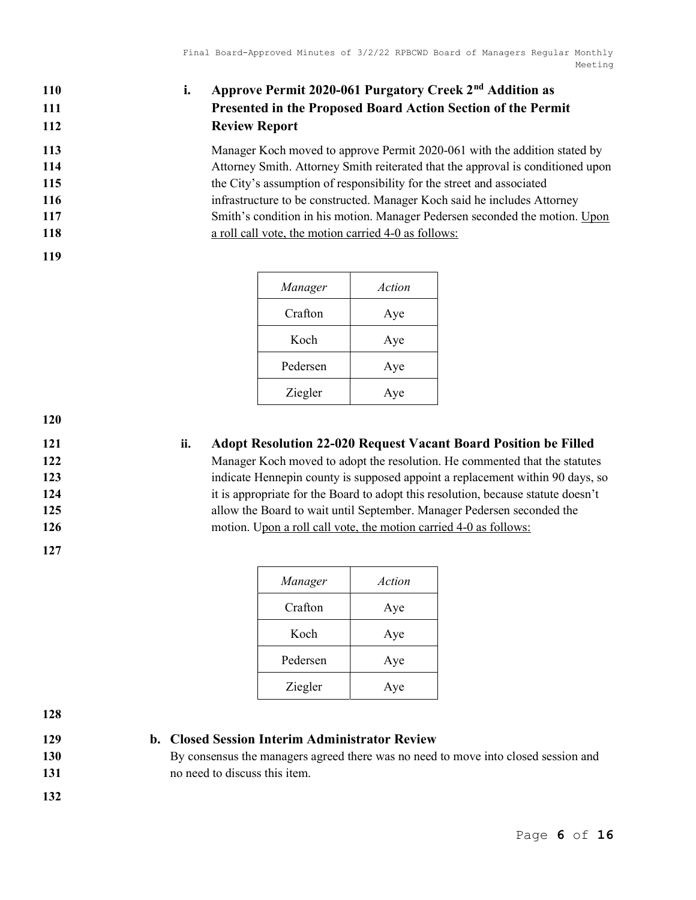# 110 i. Approve Permit 2020-061 Purgatory Creek 2<sup>nd</sup> Addition as 111 Presented in the Proposed Board Action Section of the Permit 112 Review Report

113 Manager Koch moved to approve Permit 2020-061 with the addition stated by Attorney Smith. Attorney Smith reiterated that the approval is conditioned upon the City's assumption of responsibility for the street and associated 116 infrastructure to be constructed. Manager Koch said he includes Attorney Smith's condition in his motion. Manager Pedersen seconded the motion. Upon **a** roll call vote, the motion carried 4-0 as follows:

| Manager  | Action |
|----------|--------|
| Crafton  | Aye    |
| Koch     | Aye    |
| Pedersen | Aye    |
| Ziegler  | Aye    |

120

119

127

# 121 ii. Adopt Resolution 22-020 Request Vacant Board Position be Filled

Manager Koch moved to adopt the resolution. He commented that the statutes indicate Hennepin county is supposed appoint a replacement within 90 days, so it is appropriate for the Board to adopt this resolution, because statute doesn't allow the Board to wait until September. Manager Pedersen seconded the 126 motion. Upon a roll call vote, the motion carried 4-0 as follows:

| Manager  | Action |
|----------|--------|
| Crafton  | Aye    |
| Koch     | Aye    |
| Pedersen | Aye    |
| Ziegler  | Aye    |

128

# 129 b. Closed Session Interim Administrator Review

130 By consensus the managers agreed there was no need to move into closed session and 131 131 no need to discuss this item.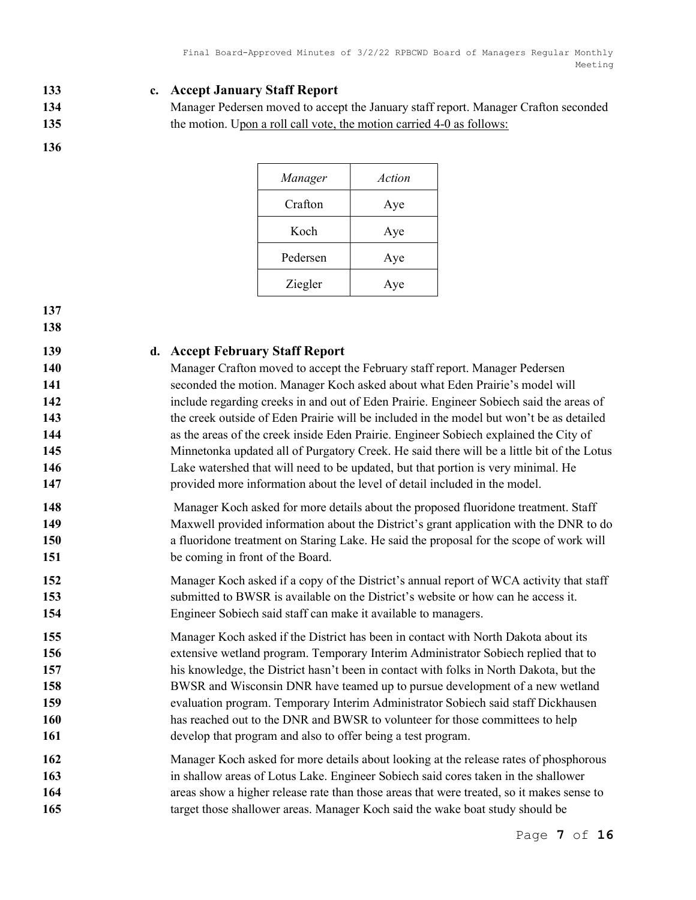- 133 c. Accept January Staff Report
- 

134 Manager Pedersen moved to accept the January staff report. Manager Crafton seconded 135 the motion. Upon a roll call vote, the motion carried 4-0 as follows:

| Manager  | Action |
|----------|--------|
| Crafton  | Aye    |
| Koch     | Aye    |
| Pedersen | Aye    |
| Ziegler  | Aye    |

#### 137 138

# 139 d. Accept February Staff Report

Manager Crafton moved to accept the February staff report. Manager Pedersen seconded the motion. Manager Koch asked about what Eden Prairie's model will 142 include regarding creeks in and out of Eden Prairie. Engineer Sobiech said the areas of 143 the creek outside of Eden Prairie will be included in the model but won't be as detailed as the areas of the creek inside Eden Prairie. Engineer Sobiech explained the City of 145 Minnetonka updated all of Purgatory Creek. He said there will be a little bit of the Lotus Lake watershed that will need to be updated, but that portion is very minimal. He provided more information about the level of detail included in the model.

- 148 Manager Koch asked for more details about the proposed fluoridone treatment. Staff 149 Maxwell provided information about the District's grant application with the DNR to do 150 a fluoridone treatment on Staring Lake. He said the proposal for the scope of work will 151 be coming in front of the Board.
- 152 Manager Koch asked if a copy of the District's annual report of WCA activity that staff 153 submitted to BWSR is available on the District's website or how can he access it. 154 Engineer Sobiech said staff can make it available to managers.
- 155 Manager Koch asked if the District has been in contact with North Dakota about its 156 extensive wetland program. Temporary Interim Administrator Sobiech replied that to 157 his knowledge, the District hasn't been in contact with folks in North Dakota, but the 158 BWSR and Wisconsin DNR have teamed up to pursue development of a new wetland 159 evaluation program. Temporary Interim Administrator Sobiech said staff Dickhausen 160 has reached out to the DNR and BWSR to volunteer for those committees to help 161 develop that program and also to offer being a test program.
- 162 Manager Koch asked for more details about looking at the release rates of phosphorous 163 in shallow areas of Lotus Lake. Engineer Sobiech said cores taken in the shallower 164 areas show a higher release rate than those areas that were treated, so it makes sense to 165 target those shallower areas. Manager Koch said the wake boat study should be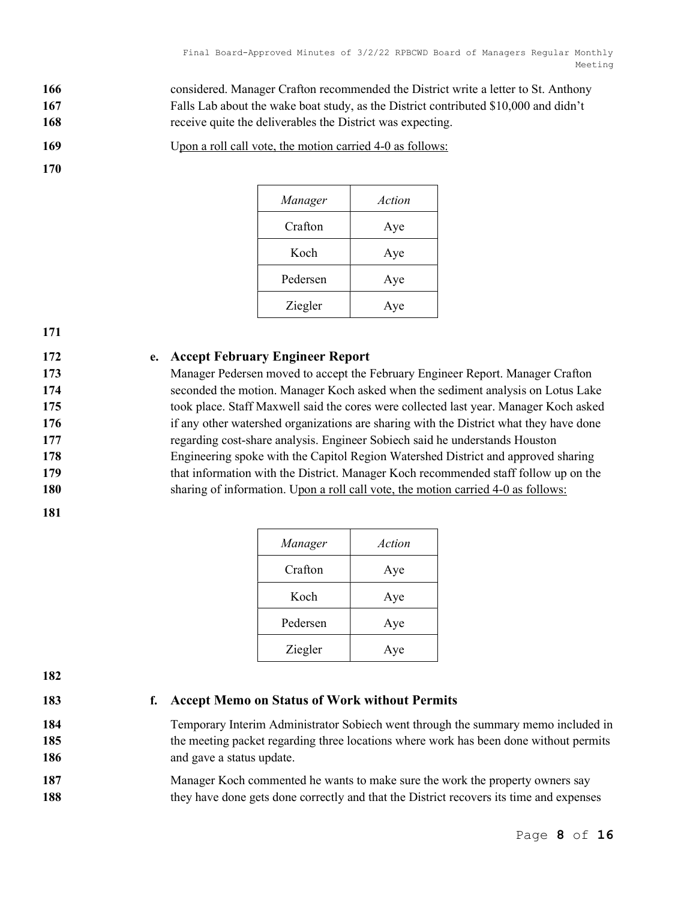166 considered. Manager Crafton recommended the District write a letter to St. Anthony 167 Falls Lab about the wake boat study, as the District contributed \$10,000 and didn't 168 receive quite the deliverables the District was expecting.

169 Upon a roll call vote, the motion carried 4-0 as follows:

#### 170

| Manager  | Action |
|----------|--------|
| Crafton  | Aye    |
| Koch     | Aye    |
| Pedersen | Aye    |
| Ziegler  | Aye    |

#### 171

### 172 e. Accept February Engineer Report

Manager Pedersen moved to accept the February Engineer Report. Manager Crafton seconded the motion. Manager Koch asked when the sediment analysis on Lotus Lake took place. Staff Maxwell said the cores were collected last year. Manager Koch asked 176 if any other watershed organizations are sharing with the District what they have done regarding cost-share analysis. Engineer Sobiech said he understands Houston Engineering spoke with the Capitol Region Watershed District and approved sharing that information with the District. Manager Koch recommended staff follow up on the sharing of information. Upon a roll call vote, the motion carried 4-0 as follows:

181

| Manager  | Action |
|----------|--------|
| Crafton  | Aye    |
| Koch     | Aye    |
| Pedersen | Aye    |
| Ziegler  | Aye    |

182

### 183 f. Accept Memo on Status of Work without Permits

184 Temporary Interim Administrator Sobiech went through the summary memo included in 185 the meeting packet regarding three locations where work has been done without permits 186 and gave a status update.

187 Manager Koch commented he wants to make sure the work the property owners say 188 they have done gets done correctly and that the District recovers its time and expenses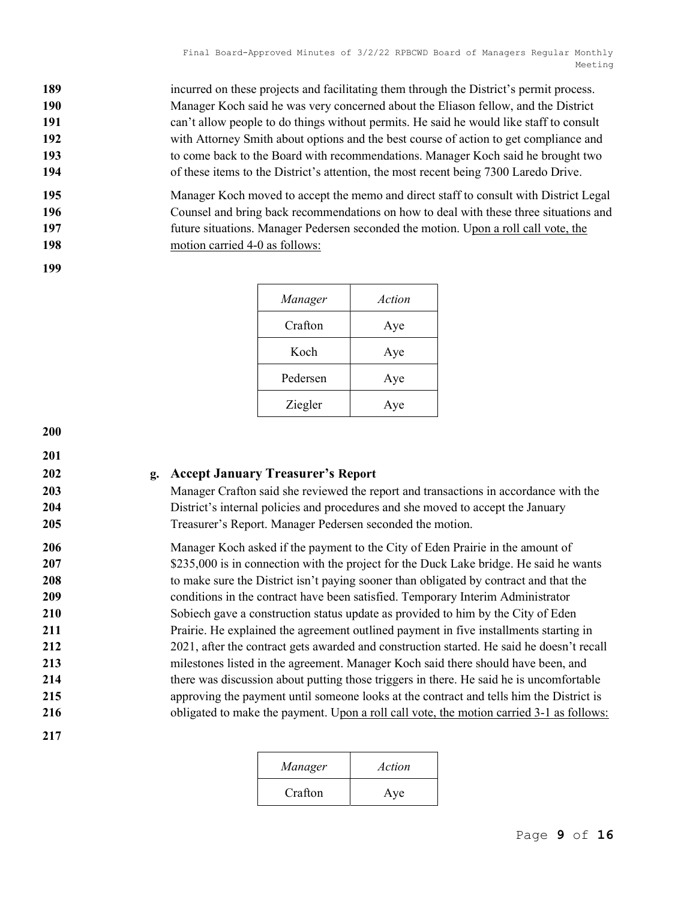incurred on these projects and facilitating them through the District's permit process. Manager Koch said he was very concerned about the Eliason fellow, and the District can't allow people to do things without permits. He said he would like staff to consult with Attorney Smith about options and the best course of action to get compliance and to come back to the Board with recommendations. Manager Koch said he brought two of these items to the District's attention, the most recent being 7300 Laredo Drive.

Manager Koch moved to accept the memo and direct staff to consult with District Legal Counsel and bring back recommendations on how to deal with these three situations and future situations. Manager Pedersen seconded the motion. Upon a roll call vote, the 198 motion carried 4-0 as follows:

| Manager  | Action |
|----------|--------|
| Crafton  | Aye    |
| Koch     | Aye    |
| Pedersen | Aye    |
| Ziegler  | Aye    |

200

199

201

#### 202 g. Accept January Treasurer's Report

203 Manager Crafton said she reviewed the report and transactions in accordance with the 204 District's internal policies and procedures and she moved to accept the January 205 Treasurer's Report. Manager Pedersen seconded the motion.

206 Manager Koch asked if the payment to the City of Eden Prairie in the amount of 207 \$235,000 is in connection with the project for the Duck Lake bridge. He said he wants 208 to make sure the District isn't paying sooner than obligated by contract and that the 209 conditions in the contract have been satisfied. Temporary Interim Administrator 210 Sobiech gave a construction status update as provided to him by the City of Eden 211 Prairie. He explained the agreement outlined payment in five installments starting in 212 2021, after the contract gets awarded and construction started. He said he doesn't recall 213 milestones listed in the agreement. Manager Koch said there should have been, and 214 there was discussion about putting those triggers in there. He said he is uncomfortable 215 approving the payment until someone looks at the contract and tells him the District is 216 obligated to make the payment. Upon a roll call vote, the motion carried 3-1 as follows:

| Manager | Action |
|---------|--------|
| Crafton | Aye    |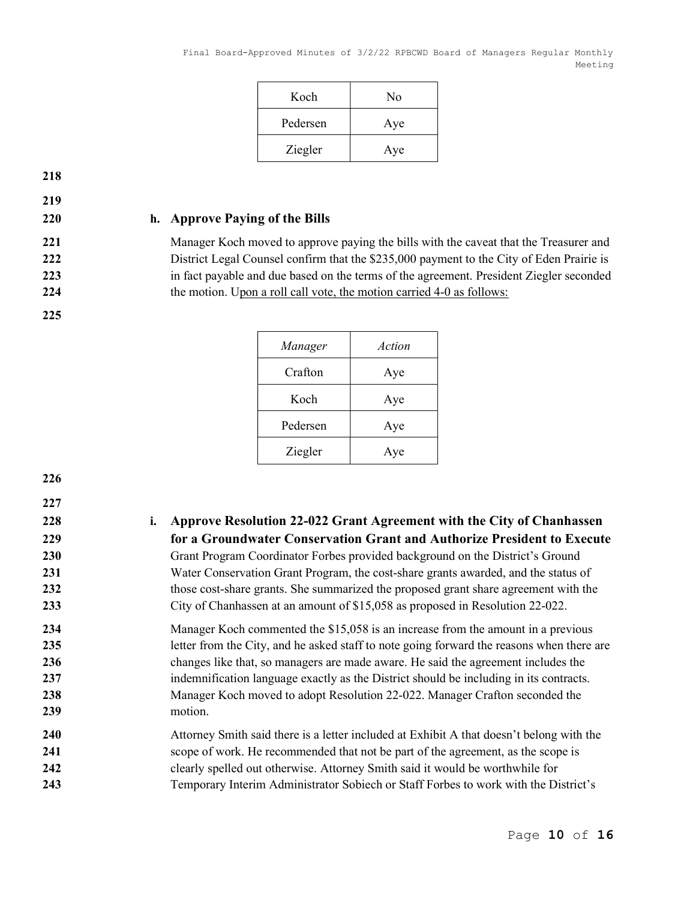| Koch     | No  |
|----------|-----|
| Pedersen | Aye |
| Ziegler  | Aye |

219

225

### 220 h. Approve Paying of the Bills

221 Manager Koch moved to approve paying the bills with the caveat that the Treasurer and 222 District Legal Counsel confirm that the \$235,000 payment to the City of Eden Prairie is 223 in fact payable and due based on the terms of the agreement. President Ziegler seconded 224 the motion. Upon a roll call vote, the motion carried 4-0 as follows:

| Manager  | Action |
|----------|--------|
| Crafton  | Aye    |
| Koch     | Aye    |
| Pedersen | Aye    |
| Ziegler  | Aye    |

226

# 227 228 i. Approve Resolution 22-022 Grant Agreement with the City of Chanhassen 229 for a Groundwater Conservation Grant and Authorize President to Execute 230 Grant Program Coordinator Forbes provided background on the District's Ground 231 Water Conservation Grant Program, the cost-share grants awarded, and the status of 232 those cost-share grants. She summarized the proposed grant share agreement with the 233 City of Chanhassen at an amount of \$15,058 as proposed in Resolution 22-022. 234 Manager Koch commented the \$15,058 is an increase from the amount in a previous 235 letter from the City, and he asked staff to note going forward the reasons when there are 236 changes like that, so managers are made aware. He said the agreement includes the 237 indemnification language exactly as the District should be including in its contracts. 238 Manager Koch moved to adopt Resolution 22-022. Manager Crafton seconded the 239 motion. 240 Attorney Smith said there is a letter included at Exhibit A that doesn't belong with the 241 scope of work. He recommended that not be part of the agreement, as the scope is 242 clearly spelled out otherwise. Attorney Smith said it would be worthwhile for 243 Temporary Interim Administrator Sobiech or Staff Forbes to work with the District's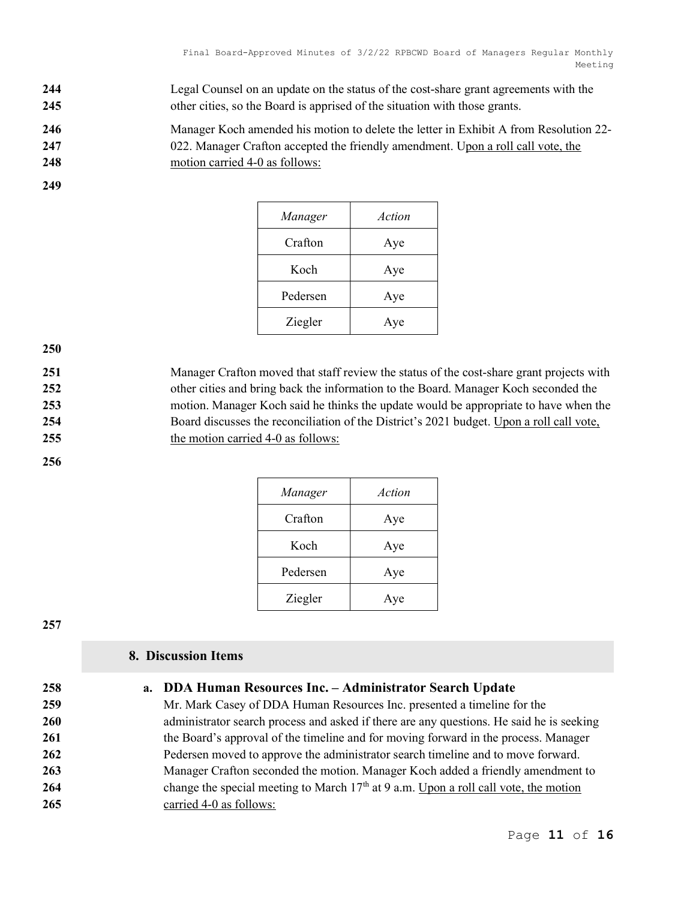- 244 Legal Counsel on an update on the status of the cost-share grant agreements with the 245 other cities, so the Board is apprised of the situation with those grants.
- 246 Manager Koch amended his motion to delete the letter in Exhibit A from Resolution 22-
- 247 247 022. Manager Crafton accepted the friendly amendment. Upon a roll call vote, the
- 248 motion carried 4-0 as follows:
- 249

| Manager  | Action |
|----------|--------|
| Crafton  | Aye    |
| Koch     | Aye    |
| Pedersen | Aye    |
| Ziegler  | Aye    |

251 Manager Crafton moved that staff review the status of the cost-share grant projects with 252 other cities and bring back the information to the Board. Manager Koch seconded the 253 motion. Manager Koch said he thinks the update would be appropriate to have when the 254 Board discusses the reconciliation of the District's 2021 budget. Upon a roll call vote, 255 the motion carried 4-0 as follows:

#### 256

| Manager  | Action |
|----------|--------|
| Crafton  | Aye    |
| Koch     | Aye    |
| Pedersen | Aye    |
| Ziegler  | Aye    |

#### 257

# 8. Discussion Items

# 258 a. DDA Human Resources Inc. – Administrator Search Update

259 Mr. Mark Casey of DDA Human Resources Inc. presented a timeline for the 260 administrator search process and asked if there are any questions. He said he is seeking 261 the Board's approval of the timeline and for moving forward in the process. Manager 262 Pedersen moved to approve the administrator search timeline and to move forward. 263 Manager Crafton seconded the motion. Manager Koch added a friendly amendment to 264 change the special meeting to March  $17<sup>th</sup>$  at 9 a.m. Upon a roll call vote, the motion 265 carried 4-0 as follows: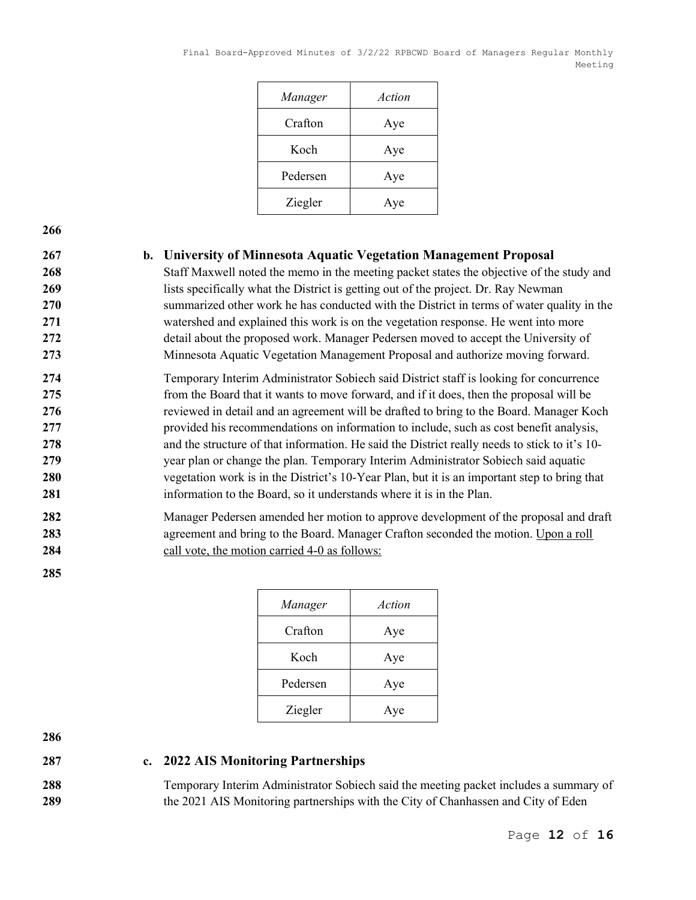| Manager  | Action |
|----------|--------|
| Crafton  | Aye    |
| Koch     | Aye    |
| Pedersen | Aye    |
| Ziegler  | Aye    |

### 267 b. University of Minnesota Aquatic Vegetation Management Proposal

268 Staff Maxwell noted the memo in the meeting packet states the objective of the study and 269 lists specifically what the District is getting out of the project. Dr. Ray Newman 270 summarized other work he has conducted with the District in terms of water quality in the 271 watershed and explained this work is on the vegetation response. He went into more 272 detail about the proposed work. Manager Pedersen moved to accept the University of 273 Minnesota Aquatic Vegetation Management Proposal and authorize moving forward.

Temporary Interim Administrator Sobiech said District staff is looking for concurrence from the Board that it wants to move forward, and if it does, then the proposal will be **reviewed in detail and an agreement will be drafted to bring to the Board. Manager Koch** provided his recommendations on information to include, such as cost benefit analysis, and the structure of that information. He said the District really needs to stick to it's 10- year plan or change the plan. Temporary Interim Administrator Sobiech said aquatic 280 vegetation work is in the District's 10-Year Plan, but it is an important step to bring that 281 information to the Board, so it understands where it is in the Plan.

282 Manager Pedersen amended her motion to approve development of the proposal and draft 283 agreement and bring to the Board. Manager Crafton seconded the motion. Upon a roll 284 call vote, the motion carried 4-0 as follows:

285

| Manager  | Action |
|----------|--------|
| Crafton  | Aye    |
| Koch     | Aye    |
| Pedersen | Aye    |
| Ziegler  | Aye    |

286

#### 287 c. 2022 AIS Monitoring Partnerships

288 Temporary Interim Administrator Sobiech said the meeting packet includes a summary of 289 the 2021 AIS Monitoring partnerships with the City of Chanhassen and City of Eden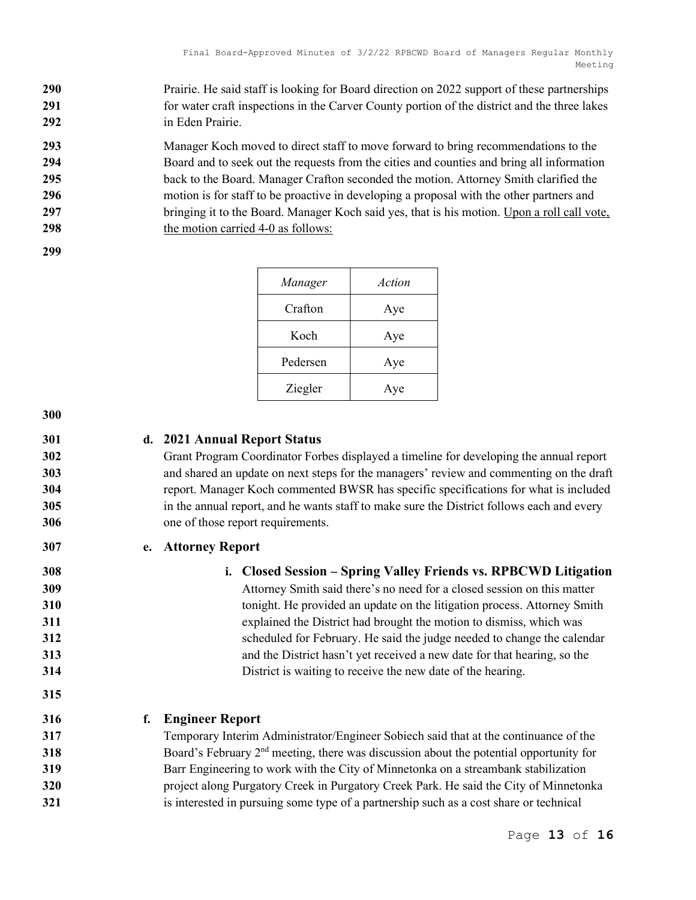290 Prairie. He said staff is looking for Board direction on 2022 support of these partnerships 291 for water craft inspections in the Carver County portion of the district and the three lakes 292 in Eden Prairie.

293 Manager Koch moved to direct staff to move forward to bring recommendations to the 294 Board and to seek out the requests from the cities and counties and bring all information 295 back to the Board. Manager Crafton seconded the motion. Attorney Smith clarified the 296 motion is for staff to be proactive in developing a proposal with the other partners and 297 bringing it to the Board. Manager Koch said yes, that is his motion. Upon a roll call vote, 298 the motion carried 4-0 as follows:

299

| Manager  | Action |
|----------|--------|
| Crafton  | Aye    |
| Koch     | Aye    |
| Pedersen | Aye    |
| Ziegler  | Aye    |

300

315

# 301 d. 2021 Annual Report Status

Grant Program Coordinator Forbes displayed a timeline for developing the annual report and shared an update on next steps for the managers' review and commenting on the draft report. Manager Koch commented BWSR has specific specifications for what is included 305 in the annual report, and he wants staff to make sure the District follows each and every one of those report requirements.

# 307 e. Attorney Report

308 i. Closed Session – Spring Valley Friends vs. RPBCWD Litigation 309 Attorney Smith said there's no need for a closed session on this matter

tonight. He provided an update on the litigation process. Attorney Smith explained the District had brought the motion to dismiss, which was scheduled for February. He said the judge needed to change the calendar and the District hasn't yet received a new date for that hearing, so the District is waiting to receive the new date of the hearing.

316 f. Engineer Report

317 Temporary Interim Administrator/Engineer Sobiech said that at the continuance of the 318 Board's February  $2<sup>nd</sup>$  meeting, there was discussion about the potential opportunity for 319 Barr Engineering to work with the City of Minnetonka on a streambank stabilization 320 project along Purgatory Creek in Purgatory Creek Park. He said the City of Minnetonka 321 is interested in pursuing some type of a partnership such as a cost share or technical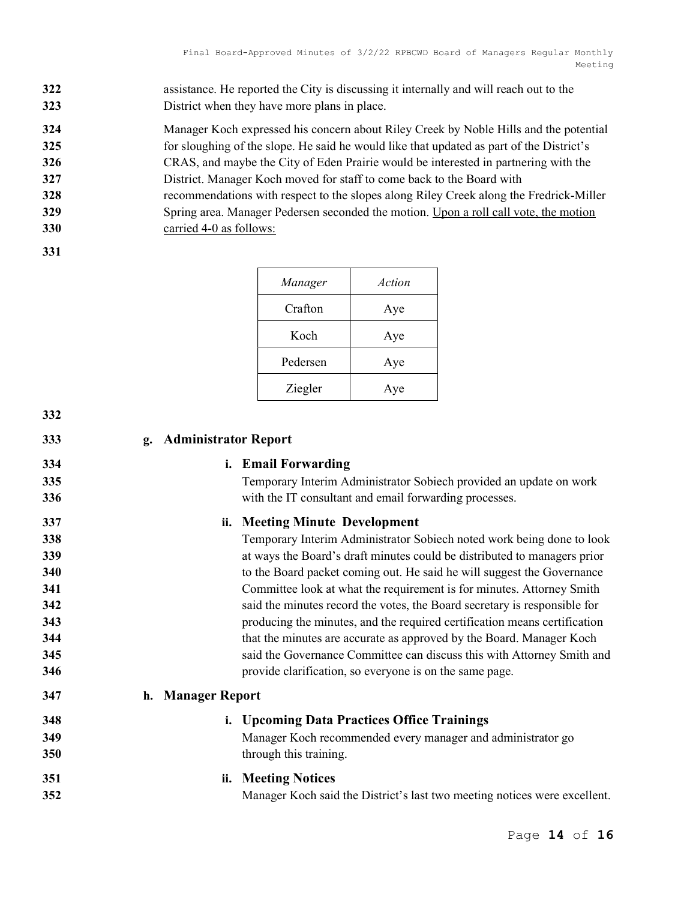- 322 assistance. He reported the City is discussing it internally and will reach out to the 323 District when they have more plans in place.
- 324 Manager Koch expressed his concern about Riley Creek by Noble Hills and the potential
- 325 for sloughing of the slope. He said he would like that updated as part of the District's
- 326 CRAS, and maybe the City of Eden Prairie would be interested in partnering with the
- 327 District. Manager Koch moved for staff to come back to the Board with
- 328 recommendations with respect to the slopes along Riley Creek along the Fredrick-Miller 329 Spring area. Manager Pedersen seconded the motion. Upon a roll call vote, the motion
- 330 carried 4-0 as follows:
- 331

| Manager  | Action |
|----------|--------|
| Crafton  | Aye    |
| Koch     | Aye    |
| Pedersen | Aye    |
| Ziegler  | Aye    |

| 332 |                                                                           |  |  |
|-----|---------------------------------------------------------------------------|--|--|
| 333 | <b>Administrator Report</b><br>g.                                         |  |  |
| 334 | i. Email Forwarding                                                       |  |  |
| 335 | Temporary Interim Administrator Sobiech provided an update on work        |  |  |
| 336 | with the IT consultant and email forwarding processes.                    |  |  |
| 337 | ii. Meeting Minute Development                                            |  |  |
| 338 | Temporary Interim Administrator Sobiech noted work being done to look     |  |  |
| 339 | at ways the Board's draft minutes could be distributed to managers prior  |  |  |
| 340 | to the Board packet coming out. He said he will suggest the Governance    |  |  |
| 341 | Committee look at what the requirement is for minutes. Attorney Smith     |  |  |
| 342 | said the minutes record the votes, the Board secretary is responsible for |  |  |
| 343 | producing the minutes, and the required certification means certification |  |  |
| 344 | that the minutes are accurate as approved by the Board. Manager Koch      |  |  |
| 345 | said the Governance Committee can discuss this with Attorney Smith and    |  |  |
| 346 | provide clarification, so everyone is on the same page.                   |  |  |
| 347 | h. Manager Report                                                         |  |  |
| 348 | <b>Upcoming Data Practices Office Trainings</b><br>i.                     |  |  |
| 349 | Manager Koch recommended every manager and administrator go               |  |  |
| 350 | through this training.                                                    |  |  |
| 351 | ii. Meeting Notices                                                       |  |  |
| 352 | Manager Koch said the District's last two meeting notices were excellent. |  |  |
|     |                                                                           |  |  |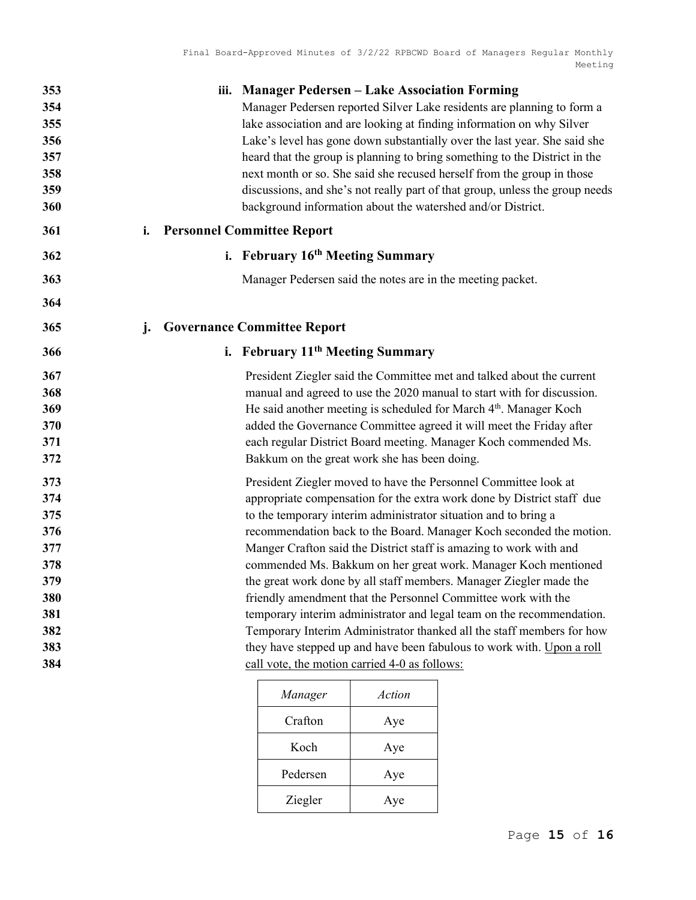|                                   | iii. Manager Pedersen – Lake Association Forming<br>Manager Pedersen reported Silver Lake residents are planning to form a<br>lake association and are looking at finding information on why Silver<br>Lake's level has gone down substantially over the last year. She said she<br>heard that the group is planning to bring something to the District in the                                                                                                                                                                                                                                                                                                                                                                                                                                                                                 |
|-----------------------------------|------------------------------------------------------------------------------------------------------------------------------------------------------------------------------------------------------------------------------------------------------------------------------------------------------------------------------------------------------------------------------------------------------------------------------------------------------------------------------------------------------------------------------------------------------------------------------------------------------------------------------------------------------------------------------------------------------------------------------------------------------------------------------------------------------------------------------------------------|
|                                   | next month or so. She said she recused herself from the group in those<br>discussions, and she's not really part of that group, unless the group needs<br>background information about the watershed and/or District.                                                                                                                                                                                                                                                                                                                                                                                                                                                                                                                                                                                                                          |
| <b>Personnel Committee Report</b> |                                                                                                                                                                                                                                                                                                                                                                                                                                                                                                                                                                                                                                                                                                                                                                                                                                                |
|                                   | i. February 16 <sup>th</sup> Meeting Summary                                                                                                                                                                                                                                                                                                                                                                                                                                                                                                                                                                                                                                                                                                                                                                                                   |
|                                   | Manager Pedersen said the notes are in the meeting packet.                                                                                                                                                                                                                                                                                                                                                                                                                                                                                                                                                                                                                                                                                                                                                                                     |
|                                   |                                                                                                                                                                                                                                                                                                                                                                                                                                                                                                                                                                                                                                                                                                                                                                                                                                                |
|                                   | <b>Governance Committee Report</b>                                                                                                                                                                                                                                                                                                                                                                                                                                                                                                                                                                                                                                                                                                                                                                                                             |
|                                   | i. February 11 <sup>th</sup> Meeting Summary                                                                                                                                                                                                                                                                                                                                                                                                                                                                                                                                                                                                                                                                                                                                                                                                   |
|                                   | President Ziegler said the Committee met and talked about the current<br>manual and agreed to use the 2020 manual to start with for discussion.<br>He said another meeting is scheduled for March 4 <sup>th</sup> . Manager Koch<br>added the Governance Committee agreed it will meet the Friday after<br>each regular District Board meeting. Manager Koch commended Ms.<br>Bakkum on the great work she has been doing.                                                                                                                                                                                                                                                                                                                                                                                                                     |
|                                   | President Ziegler moved to have the Personnel Committee look at<br>appropriate compensation for the extra work done by District staff due<br>to the temporary interim administrator situation and to bring a<br>recommendation back to the Board. Manager Koch seconded the motion.<br>Manger Crafton said the District staff is amazing to work with and<br>commended Ms. Bakkum on her great work. Manager Koch mentioned<br>the great work done by all staff members. Manager Ziegler made the<br>friendly amendment that the Personnel Committee work with the<br>temporary interim administrator and legal team on the recommendation.<br>Temporary Interim Administrator thanked all the staff members for how<br>they have stepped up and have been fabulous to work with. Upon a roll<br>call vote, the motion carried 4-0 as follows: |
|                                   |                                                                                                                                                                                                                                                                                                                                                                                                                                                                                                                                                                                                                                                                                                                                                                                                                                                |

| Manager  | Action |
|----------|--------|
| Crafton  | Aye    |
| Koch     | Aye    |
| Pedersen | Aye    |
| Ziegler  | Aye    |